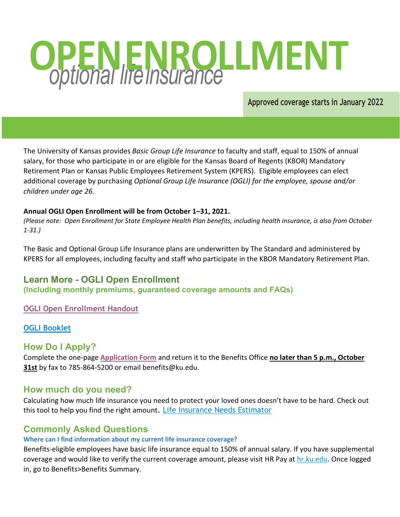# **OPENENROLLMENT**

**Approved coverage starts in January 2022**

The University of Kansas provides *Basic Group Life Insurance* to faculty and staff, equal to 150% of annual salary, for those who participate in or are eligible for the Kansas Board of Regents (KBOR) Mandatory Retirement Plan or Kansas Public Employees Retirement System (KPERS). Eligible employees can elect additional coverage by purchasing *Optional Group Life Insurance (OGLI) for the employee, spouse and/or children under age 26.*

#### **Annual OGLI Open Enrollment will be from October 1–31, 2021.**

*(Please note: Open Enrollment for State Employee Health Plan benefits, including health insurance, is also from October 1-31.)*

The Basic and Optional Group Life Insurance plans are underwritten by The Standard and administered by KPERS for all employees, including faculty and staff who participate in the KBOR Mandatory Retirement Plan.

# **Learn More - OGLI Open Enrollment**

**(Including monthly premiums, guaranteed coverage amounts and FAQs)** 

## **[OGLI Open Enrollment Handout](http://humanresources.ku.edu/sites/humanresources.drupal.ku.edu/files/docs/OGL_OE_Flyer_-_edited.pdf)**

## **OGLI [Booklet](http://humanresources.ku.edu/sites/humanresources.drupal.ku.edu/files/docs/2021_OGL_Open_Enrollment_Book.pdf)**

# **How Do I Apply?**

Complete the one-page **[Application Form](https://humanresources.ku.edu/sites/humanresources.drupal.ku.edu/files/docs/2021_OGL_OE_enrollment_form.pdf)** and return it to the Benefits Office **no later than 5 p.m., October 31st** by fax to 785-864-5200 or email benefits@ku.edu.

# **How much do you need?**

Calculating how much life insurance you need to protect your loved ones doesn't have to be hard. Check out this tool to help you find the right amount. [Life Insurance Needs Estimator](https://www.standard.com/individual/products-services/workplace-benefits/insurance/estimate-life-insurance-needs) 

# **Commonly Asked Questions**

# **Where can I find information about my current life insurance coverage?**

Benefits-eligible employees have basic life insurance equal to 150% of annual salary. If you have supplemental coverage and would like to verify the current coverage amount, please visit HR Pay at [hr.ku.edu.](https://hr.ku.edu/psp/hrprd/?cmd=login) Once logged in, go to Benefits>Benefits Summary.